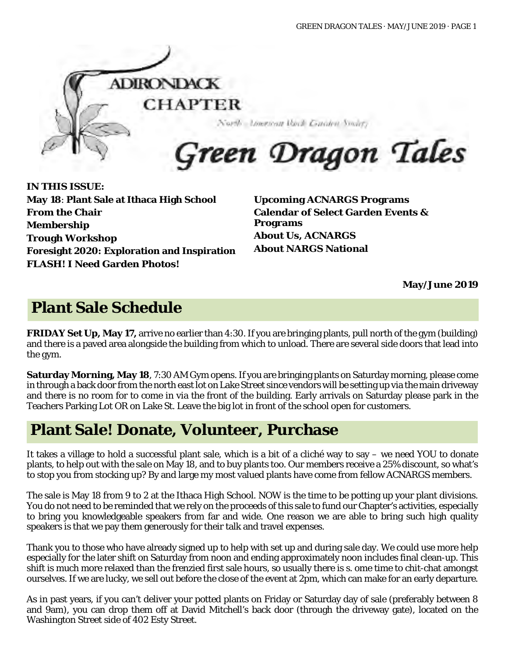

**IN THIS ISSUE: May 18**: **Plant Sale at Ithaca High School From the Chair Membership Trough Workshop Foresight 2020: Exploration and Inspiration FLASH! I Need Garden Photos!** 

**Upcoming ACNARGS Programs Calendar of Select Garden Events & Programs About Us, ACNARGS About NARGS National**

**May/June 2019**

# **Plant Sale Schedule**

**FRIDAY Set Up, May 17,** arrive no earlier than 4:30. If you are bringing plants, pull north of the gym (building) and there is a paved area alongside the building from which to unload. There are several side doors that lead into the gym.

**Saturday Morning, May 18**, 7:30 AM Gym opens. If you are bringing plants on Saturday morning, please come in through a back door from the north east lot on Lake Street since vendors will be setting up via the main driveway and there is no room for to come in via the front of the building. Early arrivals on Saturday please park in the Teachers Parking Lot OR on Lake St. Leave the big lot in front of the school open for customers.

## **Plant Sale! Donate, Volunteer, Purchase**

It takes a village to hold a successful plant sale, which is a bit of a cliché way to say – we need YOU to donate plants, to help out with the sale on May 18, and to buy plants too. Our members receive a 25% discount, so what's to stop you from stocking up? By and large my most valued plants have come from fellow ACNARGS members.

The sale is May 18 from 9 to 2 at the Ithaca High School. NOW is the time to be potting up your plant divisions. You do not need to be reminded that we rely on the proceeds of this sale to fund our Chapter's activities, especially to bring you knowledgeable speakers from far and wide. One reason we are able to bring such high quality speakers is that we pay them generously for their talk and travel expenses.

Thank you to those who have already signed up to help with set up and during sale day. We could use more help especially for the later shift on Saturday from noon and ending approximately noon includes final clean-up. This shift is much more relaxed than the frenzied first sale hours, so usually there is s. ome time to chit-chat amongst ourselves. If we are lucky, we sell out before the close of the event at 2pm, which can make for an early departure.

As in past years, if you can't deliver your potted plants on Friday or Saturday day of sale (preferably between 8 and 9am), you can drop them off at David Mitchell's back door (through the driveway gate), located on the Washington Street side of 402 Esty Street.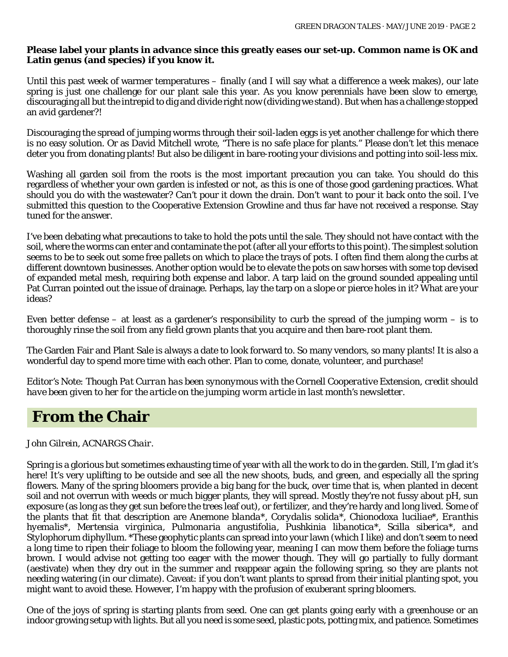#### **Please label your plants in advance since this greatly eases our set-up. Common name is OK and Latin genus (and species) if you know it.**

Until this past week of warmer temperatures – finally (and I will say what a difference a week makes), our late spring is just one challenge for our plant sale this year. As you know perennials have been slow to emerge, discouraging all but the intrepid to dig and divide right now (dividing we stand). But when has a challenge stopped an avid gardener?!

Discouraging the spread of jumping worms through their soil-laden eggs is yet another challenge for which there is no easy solution. Or as David Mitchell wrote, "There is no safe place for plants." Please don't let this menace deter you from donating plants! But also be diligent in bare-rooting your divisions and potting into soil-less mix.

Washing all garden soil from the roots is the most important precaution you can take. You should do this regardless of whether your own garden is infested or not, as this is one of those good gardening practices. What should you do with the wastewater? Can't pour it down the drain. Don't want to pour it back onto the soil. I've submitted this question to the Cooperative Extension Growline and thus far have not received a response. Stay tuned for the answer.

I've been debating what precautions to take to hold the pots until the sale. They should not have contact with the soil, where the worms can enter and contaminate the pot (after all your efforts to this point). The simplest solution seems to be to seek out some free pallets on which to place the trays of pots. I often find them along the curbs at different downtown businesses. Another option would be to elevate the pots on saw horses with some top devised of expanded metal mesh, requiring both expense and labor. A tarp laid on the ground sounded appealing until Pat Curran pointed out the issue of drainage. Perhaps, lay the tarp on a slope or pierce holes in it? What are your ideas?

Even better defense – at least as a gardener's responsibility to curb the spread of the jumping worm – is to thoroughly rinse the soil from any field grown plants that you acquire and then bare-root plant them.

The Garden Fair and Plant Sale is always a date to look forward to. So many vendors, so many plants! It is also a wonderful day to spend more time with each other. Plan to come, donate, volunteer, and purchase!

*Editor's Note: Though Pat Curran has been synonymous with the Cornell Cooperative Extension, credit should have been given to her for the article on the jumping worm article in last month's newsletter.*

#### **From the Chair**

*John Gilrein, ACNARGS Chair.*

Spring is a glorious but sometimes exhausting time of year with all the work to do in the garden. Still, I'm glad it's here! It's very uplifting to be outside and see all the new shoots, buds, and green, and especially all the spring flowers. Many of the spring bloomers provide a big bang for the buck, over time that is, when planted in decent soil and not overrun with weeds or much bigger plants, they will spread. Mostly they're not fussy about pH, sun exposure (as long as they get sun before the trees leaf out), or fertilizer, and they're hardy and long lived. Some of the plants that fit that description are *Anemone blanda\*, Corydalis solida\*, Chionodoxa luciliae\*, Eranthis hyemalis\*, Mertensia virginica, Pulmonaria angustifolia, Pushkinia libanotica\*, Scilla siberica\*, and Stylophorum diphyllum*. \*These geophytic plants can spread into your lawn (which I like) and don't seem to need a long time to ripen their foliage to bloom the following year, meaning I can mow them before the foliage turns brown. I would advise not getting too eager with the mower though. They will go partially to fully dormant (aestivate) when they dry out in the summer and reappear again the following spring, so they are plants not needing watering (in our climate). Caveat: if you don't want plants to spread from their initial planting spot, you might want to avoid these. However, I'm happy with the profusion of exuberant spring bloomers.

One of the joys of spring is starting plants from seed. One can get plants going early with a greenhouse or an indoor growing setup with lights. But all you need is some seed, plastic pots, potting mix, and patience. Sometimes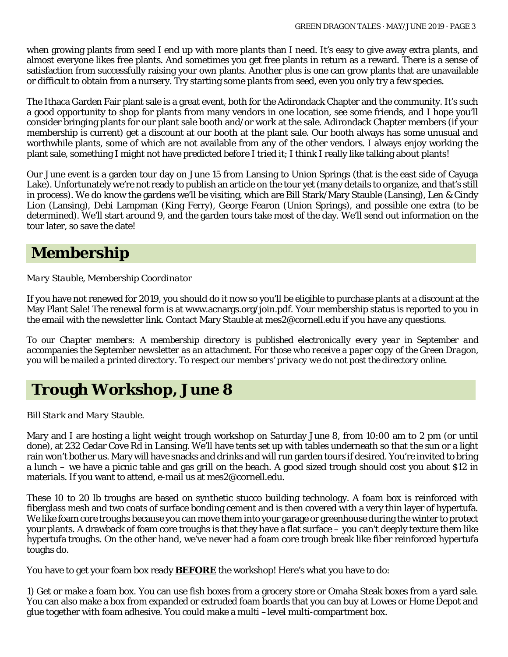when growing plants from seed I end up with more plants than I need. It's easy to give away extra plants, and almost everyone likes free plants. And sometimes you get free plants in return as a reward. There is a sense of satisfaction from successfully raising your own plants. Another plus is one can grow plants that are unavailable or difficult to obtain from a nursery. Try starting some plants from seed, even you only try a few species.

The Ithaca Garden Fair plant sale is a great event, both for the Adirondack Chapter and the community. It's such a good opportunity to shop for plants from many vendors in one location, see some friends, and I hope you'll consider bringing plants for our plant sale booth and/or work at the sale. Adirondack Chapter members (if your membership is current) get a discount at our booth at the plant sale. Our booth always has some unusual and worthwhile plants, some of which are not available from any of the other vendors. I always enjoy working the plant sale, something I might not have predicted before I tried it; I think I really like talking about plants!

Our June event is a garden tour day on June 15 from Lansing to Union Springs (that is the east side of Cayuga Lake). Unfortunately we're not ready to publish an article on the tour yet (many details to organize, and that's still in process). We do know the gardens we'll be visiting, which are Bill Stark/Mary Stauble (Lansing), Len & Cindy Lion (Lansing), Debi Lampman (King Ferry), George Fearon (Union Springs), and possible one extra (to be determined). We'll start around 9, and the garden tours take most of the day. We'll send out information on the tour later, so save the date!

#### **Membership**

*Mary Stauble, Membership Coordinator*

If you have not renewed for 2019, you should do it now so you'll be eligible to purchase plants at a discount at the May Plant Sale! The renewal form is at www.acnargs.org/join.pdf. Your membership status is reported to you in the email with the newsletter link. Contact Mary Stauble at mes2@cornell.edu if you have any questions.

*To our Chapter members: A membership directory is published electronically every year in September and accompanies the September newsletter as an attachment. For those who receive a paper copy of the Green Dragon, you will be mailed a printed directory. To respect our members' privacy we do not post the directory online.*

#### **Trough Workshop, June 8**

*Bill Stark and Mary Stauble.*

Mary and I are hosting a light weight trough workshop on Saturday June 8, from 10:00 am to 2 pm (or until done), at 232 Cedar Cove Rd in Lansing. We'll have tents set up with tables underneath so that the sun or a light rain won't bother us. Mary will have snacks and drinks and will run garden tours if desired. You're invited to bring a lunch – we have a picnic table and gas grill on the beach. A good sized trough should cost you about \$12 in materials. If you want to attend, e-mail us at mes2@cornell.edu.

These 10 to 20 lb troughs are based on synthetic stucco building technology. A foam box is reinforced with fiberglass mesh and two coats of surface bonding cement and is then covered with a very thin layer of hypertufa. We like foam core troughs because you can move them into your garage or greenhouse during the winter to protect your plants. A drawback of foam core troughs is that they have a flat surface – you can't deeply texture them like hypertufa troughs. On the other hand, we've never had a foam core trough break like fiber reinforced hypertufa toughs do.

You have to get your foam box ready **BEFORE** the workshop! Here's what you have to do:

1) Get or make a foam box. You can use fish boxes from a grocery store or Omaha Steak boxes from a yard sale. You can also make a box from expanded or extruded foam boards that you can buy at Lowes or Home Depot and glue together with foam adhesive. You could make a multi –level multi-compartment box.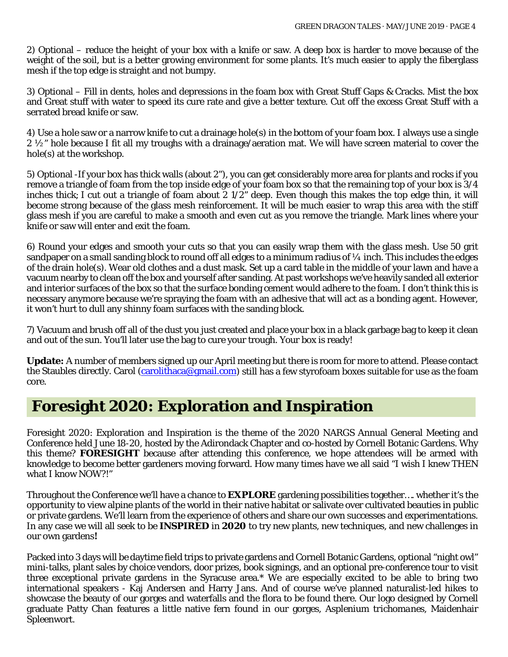2) Optional – reduce the height of your box with a knife or saw. A deep box is harder to move because of the weight of the soil, but is a better growing environment for some plants. It's much easier to apply the fiberglass mesh if the top edge is straight and not bumpy.

3) Optional – Fill in dents, holes and depressions in the foam box with Great Stuff Gaps & Cracks. Mist the box and Great stuff with water to speed its cure rate and give a better texture. Cut off the excess Great Stuff with a serrated bread knife or saw.

4) Use a hole saw or a narrow knife to cut a drainage hole(s) in the bottom of your foam box. I always use a single 2 ½" hole because I fit all my troughs with a drainage/aeration mat. We will have screen material to cover the hole(s) at the workshop.

5) Optional -If your box has thick walls (about 2"), you can get considerably more area for plants and rocks if you remove a triangle of foam from the top inside edge of your foam box so that the remaining top of your box is 3/4 inches thick; I cut out a triangle of foam about 2 1/2" deep. Even though this makes the top edge thin, it will become strong because of the glass mesh reinforcement. It will be much easier to wrap this area with the stiff glass mesh if you are careful to make a smooth and even cut as you remove the triangle. Mark lines where your knife or saw will enter and exit the foam.

6) Round your edges and smooth your cuts so that you can easily wrap them with the glass mesh. Use 50 grit sandpaper on a small sanding block to round off all edges to a minimum radius of  $\frac{1}{4}$  inch. This includes the edges of the drain hole(s). Wear old clothes and a dust mask. Set up a card table in the middle of your lawn and have a vacuum nearby to clean off the box and yourself after sanding. At past workshops we've heavily sanded all exterior and interior surfaces of the box so that the surface bonding cement would adhere to the foam. I don't think this is necessary anymore because we're spraying the foam with an adhesive that will act as a bonding agent. However, it won't hurt to dull any shinny foam surfaces with the sanding block.

7) Vacuum and brush off all of the dust you just created and place your box in a black garbage bag to keep it clean and out of the sun. You'll later use the bag to cure your trough. Your box is ready!

**Update:** A number of members signed up our April meeting but there is room for more to attend. Please contact the Staubles directly. Carol [\(carolithaca@gmail.com\)](mailto:carolithaca@gmail.com) still has a few styrofoam boxes suitable for use as the foam core.

#### **Foresight 2020: Exploration and Inspiration**

Foresight 2020: Exploration and Inspiration is the theme of the 2020 NARGS Annual General Meeting and Conference held June 18-20, hosted by the Adirondack Chapter and co-hosted by Cornell Botanic Gardens. Why this theme? **FORESIGHT** because after attending this conference, we hope attendees will be armed with knowledge to become better gardeners moving forward. How many times have we all said "I wish I knew THEN what I know NOW?!"

Throughout the Conference we'll have a chance to **EXPLORE** gardening possibilities together…. whether it's the opportunity to view alpine plants of the world in their native habitat or salivate over cultivated beauties in public or private gardens. We'll learn from the experience of others and share our own successes and experimentations. In any case we will all seek to be **INSPIRED** in **2020** to try new plants, new techniques, and new challenges in our own gardens**!** 

Packed into 3 days will be daytime field trips to private gardens and Cornell Botanic Gardens, optional "night owl" mini-talks, plant sales by choice vendors, door prizes, book signings, and an optional pre-conference tour to visit three exceptional private gardens in the Syracuse area.\* We are especially excited to be able to bring two international speakers - Kaj Andersen and Harry Jans. And of course we've planned naturalist-led hikes to showcase the beauty of our gorges and waterfalls and the flora to be found there. Our logo designed by Cornell graduate Patty Chan features a little native fern found in our gorges, *Asplenium trichomanes*, Maidenhair Spleenwort.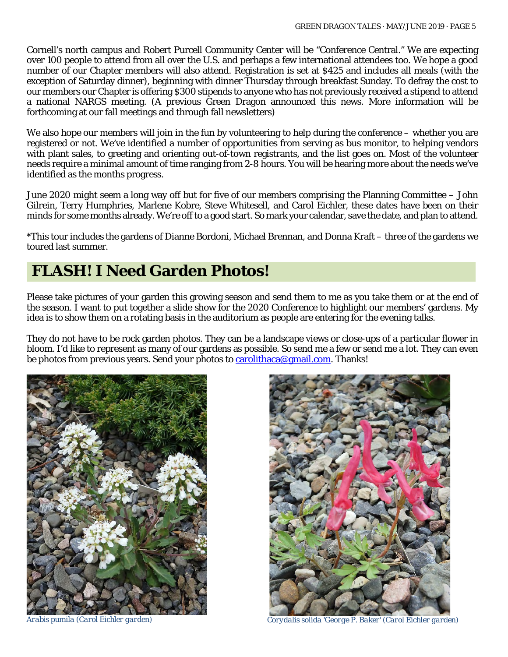Cornell's north campus and Robert Purcell Community Center will be "Conference Central." We are expecting over 100 people to attend from all over the U.S. and perhaps a few international attendees too. We hope a good number of our Chapter members will also attend. Registration is set at \$425 and includes all meals (with the exception of Saturday dinner), beginning with dinner Thursday through breakfast Sunday. To defray the cost to our members our Chapter is offering \$300 stipends to anyone who has not previously received a stipend to attend a national NARGS meeting. (A previous Green Dragon announced this news. More information will be forthcoming at our fall meetings and through fall newsletters)

We also hope our members will join in the fun by volunteering to help during the conference – whether you are registered or not. We've identified a number of opportunities from serving as bus monitor, to helping vendors with plant sales, to greeting and orienting out-of-town registrants, and the list goes on. Most of the volunteer needs require a minimal amount of time ranging from 2-8 hours. You will be hearing more about the needs we've identified as the months progress.

June 2020 might seem a long way off but for five of our members comprising the Planning Committee – John Gilrein, Terry Humphries, Marlene Kobre, Steve Whitesell, and Carol Eichler, these dates have been on their minds for some months already. We're off to a good start. So mark your calendar, save the date, and plan to attend.

\*This tour includes the gardens of Dianne Bordoni, Michael Brennan, and Donna Kraft – three of the gardens we toured last summer.

# **FLASH! I Need Garden Photos!**

Please take pictures of your garden this growing season and send them to me as you take them or at the end of the season. I want to put together a slide show for the 2020 Conference to highlight our members' gardens. My idea is to show them on a rotating basis in the auditorium as people are entering for the evening talks.

They do not have to be rock garden photos. They can be a landscape views or close-ups of a particular flower in bloom. I'd like to represent as many of our gardens as possible. So send me a few or send me a lot. They can even be photos from previous years. Send your photos to [carolithaca@gmail.com.](mailto:carolithaca@gmail.com) Thanks!





*Arabis pumila (Carol Eichler garden) Corydalis solida 'George P. Baker' (Carol Eichler garden)*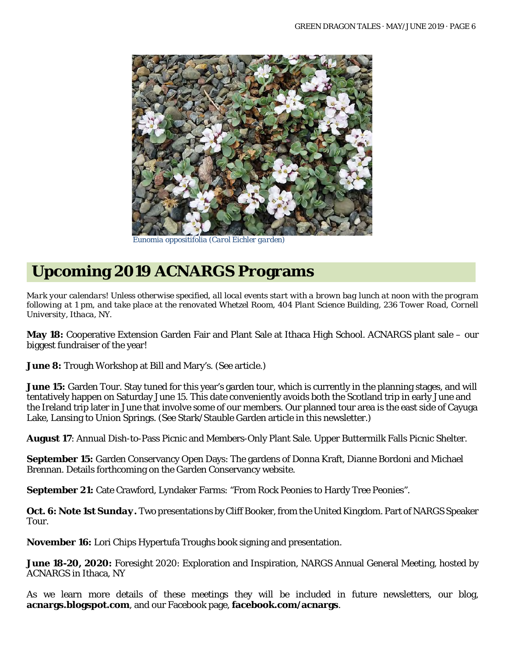

 *Eunomia oppositifolia (Carol Eichler garden)*

# **Upcoming 2019 ACNARGS Programs**

*Mark your calendars! Unless otherwise specified, all local events start with a brown bag lunch at noon with the program following at 1 pm, and take place at the renovated Whetzel Room, 404 Plant Science Building, 236 Tower Road, Cornell University, Ithaca, NY.*

**May 18:** Cooperative Extension Garden Fair and Plant Sale at Ithaca High School. ACNARGS plant sale – our biggest fundraiser of the year!

**June 8:** Trough Workshop at Bill and Mary's. (See article.)

**June 15:** Garden Tour. Stay tuned for this year's garden tour, which is currently in the planning stages, and will tentatively happen on Saturday June 15. This date conveniently avoids both the Scotland trip in early June and the Ireland trip later in June that involve some of our members. Our planned tour area is the east side of Cayuga Lake, Lansing to Union Springs. (See Stark/Stauble Garden article in this newsletter.)

**August 17**: Annual Dish-to-Pass Picnic and Members-Only Plant Sale. Upper Buttermilk Falls Picnic Shelter.

**September 15:** Garden Conservancy Open Days: The gardens of Donna Kraft, Dianne Bordoni and Michael Brennan. Details forthcoming on the Garden Conservancy website.

**September 21:** Cate Crawford, Lyndaker Farms: "From Rock Peonies to Hardy Tree Peonies".

**Oct. 6:** *Note 1st Sunday.* Two presentations by Cliff Booker, from the United Kingdom. Part of NARGS Speaker Tour.

**November 16:** Lori Chips Hypertufa Troughs book signing and presentation.

**June 18-20, 2020:** Foresight 2020: Exploration and Inspiration, NARGS Annual General Meeting, hosted by ACNARGS in Ithaca, NY

As we learn more details of these meetings they will be included in future newsletters, our blog, **acnargs.blogspot.com**, and our Facebook page, **[facebook.com/acnargs](http://www.facebook.com/acnargs)**.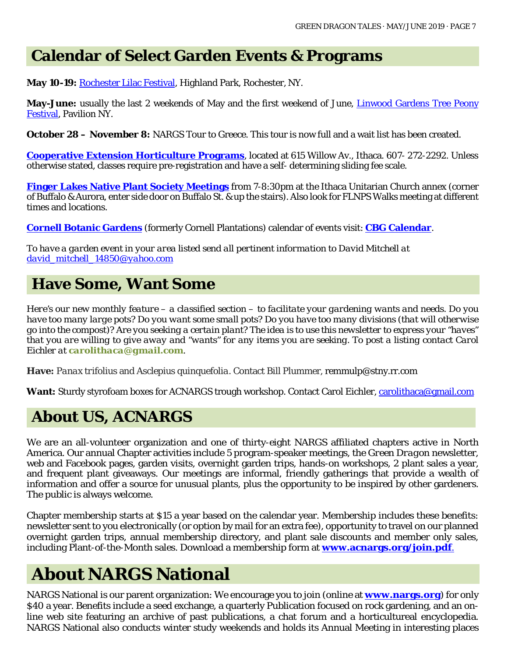## **Calendar of Select Garden Events & Programs**

**May 10-19:** [Rochester Lilac Festival,](https://www.rochesterevents.com/lilac-festival/) Highland Park, Rochester, NY.

**May-June:** usually the last 2 weekends of May and the first weekend of June, *Linwood Gardens Tree Peony* [Festival,](https://www.linwoodgardens.org/festival2019) Pavilion NY.

**October 28 – November 8:** NARGS Tour to Greece. This tour is now full and a wait list has been created.

**[Cooperative Extension Horticulture Programs](http://www.ccetompkins.org/)**, located at 615 Willow Av., Ithaca. 607- 272-2292. Unless otherwise stated, classes require pre-registration and have a self- determining sliding fee scale.

**[Finger Lakes Native Plant Society Meetings](https://flnps.org/)** from 7-8:30pm at the Ithaca Unitarian Church annex (corner of Buffalo & Aurora, enter side door on Buffalo St. & up the stairs). Also look for FLNPS Walks meeting at different times and locations.

**[Cornell Botanic Gardens](https://cornellbotanicgardens.org/)** (formerly Cornell Plantations) calendar of events visit: **[CBG Calendar](https://cornellbotanicgardens.org/explore/events/)**.

*To have a garden event in your area listed send all pertinent information to David Mitchell at [david\\_mitchell\\_14850@yahoo.com](mailto:david_mitchell_14850@yahoo.com)*

## **Have Some, Want Some**

*Here's our new monthly feature – a classified section – to facilitate your gardening wants and needs. Do you have too many large pots? Do you want some small pots? Do you have too many divisions (that will otherwise go into the compost)? Are you seeking a certain plant? The idea is to use this newsletter to express your "haves" that you are willing to give away and "wants" for any items you are seeking. To post a listing contact Carol Eichler at [carolithaca@gmail.com](mailto:carolithaca@gmail.com).*

**Have:** *Panax trifolius* and *Asclepius quinquefolia*. Contact Bill Plummer, [remmulp@stny.rr.com](mailto:remmulp@stny.rr.com)

**Want:** Sturdy styrofoam boxes for ACNARGS trough workshop. Contact Carol Eichler[, carolithaca@gmail.com](mailto:carolithaca@gmail.com)

# **About US, ACNARGS**

We are an all-volunteer organization and one of thirty-eight NARGS affiliated chapters active in North America. Our annual Chapter activities include 5 program-speaker meetings, the *Green Dragon* newsletter, web and Facebook pages, garden visits, overnight garden trips, hands-on workshops, 2 plant sales a year, and frequent plant giveaways. Our meetings are informal, friendly gatherings that provide a wealth of information and offer a source for unusual plants, plus the opportunity to be inspired by other gardeners. The public is always welcome.

Chapter membership starts at \$15 a year based on the calendar year. Membership includes these benefits: newsletter sent to you electronically (or option by mail for an extra fee), opportunity to travel on our planned overnight garden trips, annual membership directory, and plant sale discounts and member only sales, including Plant-of-the-Month sales. Download a membership form at **[www.acnargs.org/join.pdf](http://www.acnargs.org/join.pdf.)**.

# **About NARGS National**

NARGS National is our parent organization: We encourage you to join (online at **www.nargs.org**) for only \$40 a year. Benefits include a seed exchange, a quarterly Publication focused on rock gardening, and an online web site featuring an archive of past publications, a chat forum and a horticultureal encyclopedia. NARGS National also conducts winter study weekends and holds its Annual Meeting in interesting places